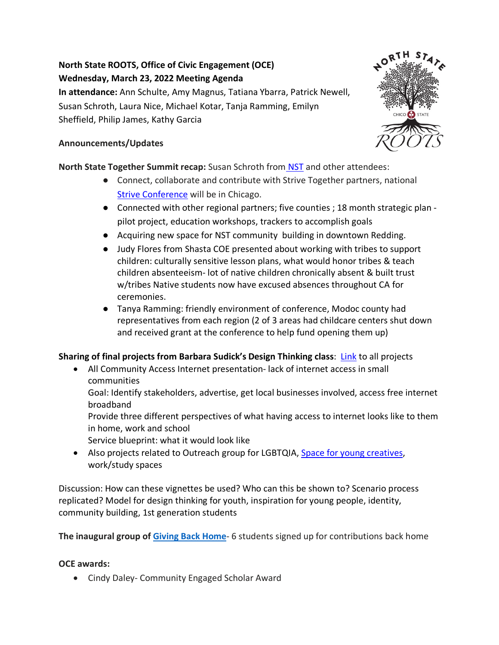# **North State ROOTS, Office of Civic Engagement (OCE) Wednesday, March 23, 2022 Meeting Agenda In attendance:** Ann Schulte, Amy Magnus, Tatiana Ybarra, Patrick Newell, Susan Schroth, Laura Nice, Michael Kotar, Tanja Ramming, Emilyn

Sheffield, Philip James, Kathy Garcia

## **Announcements/Updates**

# **North State Together Summit recap:** Susan Schroth from [NST](https://northstatetogether.org/) and other attendees:

- Connect, collaborate and contribute with Strive Together partners, national [Strive Conference](https://www.strivetogether.org/) will be in Chicago.
- Connected with other regional partners; five counties ; 18 month strategic plan pilot project, education workshops, trackers to accomplish goals
- Acquiring new space for NST community building in downtown Redding.
- Judy Flores from Shasta COE presented about working with tribes to support children: culturally sensitive lesson plans, what would honor tribes & teach children absenteeism- lot of native children chronically absent & built trust w/tribes Native students now have excused absences throughout CA for ceremonies.
- Tanya Ramming: friendly environment of conference, Modoc county had representatives from each region (2 of 3 areas had childcare centers shut down and received grant at the conference to help fund opening them up)

# **Sharing of final projects from Barbara Sudick's Design Thinking class**: [Link](https://drive.google.com/drive/folders/1iqe9cuMSpQYob045e5W56Ru06meFxD4J?usp=sharing) to all projects

• All Community Access Internet presentation- lack of internet access in small communities

Goal: Identify stakeholders, advertise, get local businesses involved, access free internet broadband

Provide three different perspectives of what having access to internet looks like to them in home, work and school

Service blueprint: what it would look like

• Also projects related to Outreach group for LGBTQIA[, Space for young creatives,](https://bryanhannah.com/index.php/portfolio/creators-next-door/) work/study spaces

Discussion: How can these vignettes be used? Who can this be shown to? Scenario process replicated? Model for design thinking for youth, inspiration for young people, identity, community building, 1st generation students

**The inaugural group o[f](https://www.csuchico.edu/civic/initiatives/giving-back-home.shtml) [Giving Back Home](https://www.csuchico.edu/civic/initiatives/giving-back-home.shtml)**- 6 students signed up for contributions back home

## **OCE awards:**

• Cindy Daley- Community Engaged Scholar Award

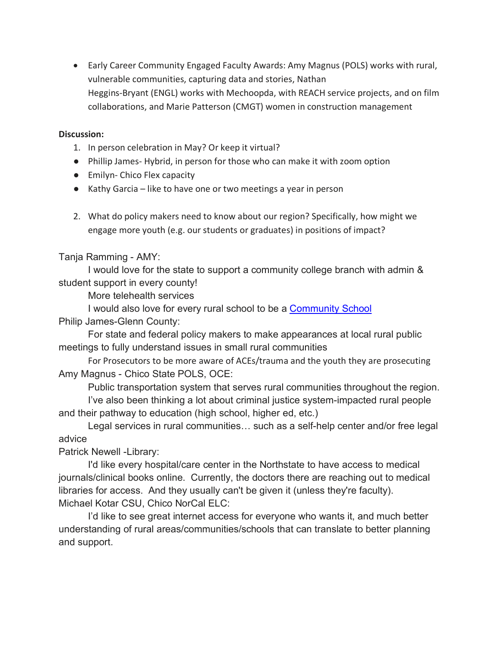• Early Career Community Engaged Faculty Awards: Amy Magnus (POLS) works with rural, vulnerable communities, capturing data and stories, Nathan Heggins-Bryant (ENGL) works with Mechoopda, with REACH service projects, and on film collaborations, and Marie Patterson (CMGT) women in construction management

#### **Discussion:**

- 1. In person celebration in May? Or keep it virtual?
- Phillip James- Hybrid, in person for those who can make it with zoom option
- Emilyn- Chico Flex capacity
- Kathy Garcia like to have one or two meetings a year in person
- 2. What do policy makers need to know about our region? Specifically, how might we engage more youth (e.g. our students or graduates) in positions of impact?

#### Tanja Ramming - AMY:

I would love for the state to support a community college branch with admin & student support in every county!

More telehealth services

I would also love for every rural school to be a **Community School** 

### Philip James-Glenn County:

For state and federal policy makers to make appearances at local rural public meetings to fully understand issues in small rural communities

For Prosecutors to be more aware of ACEs/trauma and the youth they are prosecuting Amy Magnus - Chico State POLS, OCE:

Public transportation system that serves rural communities throughout the region.

I've also been thinking a lot about criminal justice system-impacted rural people and their pathway to education (high school, higher ed, etc.)

Legal services in rural communities… such as a self-help center and/or free legal advice

Patrick Newell -Library:

I'd like every hospital/care center in the Northstate to have access to medical journals/clinical books online. Currently, the doctors there are reaching out to medical libraries for access. And they usually can't be given it (unless they're faculty). Michael Kotar CSU, Chico NorCal ELC:

I'd like to see great internet access for everyone who wants it, and much better understanding of rural areas/communities/schools that can translate to better planning and support.